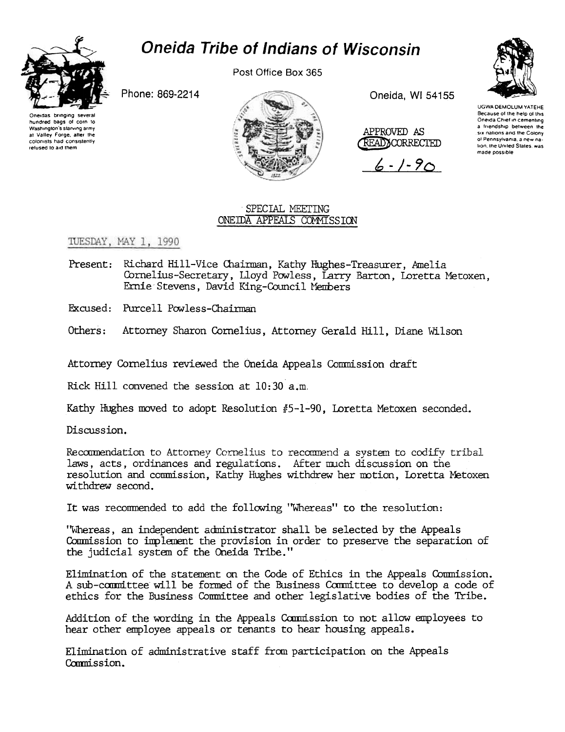

## **Oneida Tribe of Indians of Wisconsin**

Post Office Box 365

Phone: 869-2214

Oneidas bringing several hundred bags of corn to Washington's starving army at Valley Forge, after the colonists had consistently refused to aid them



Oneida, WI 54155

APPROVED AS READXCORRECTED

 $6 - 1 - 90$ 



UGWA DEMOLUM YATEHE Because of the help of this Oneida Chief in cementing a friendship between the six nations and the Colony of Pennsylvania, a new nation, the United States, was made possible

## SPECIAL MEETING ONE IDA APPEALS COMMISSION

## TUESDAY, MAY 1, 1990

Present: Richard Hill-Vice Chairman, Kathy Hughes-Treasurer, Amelia Cornelius-Secretary, Lloyd Powless, Larry Barton, Loretta Metoxen. Ernie Stevens, David King-Council Members

Excused: Purcell Powless-Chairman

Others: Attorney Sharon Cornelius, Attorney Gerald Hill, Diane Wilson

Attorney Cornelius reviewed the Oneida Appeals Commission draft

Rick Hill convened the session at 10:30 a.m.

Kathy Hughes moved to adopt Resolution #5-1-90. Loretta Metoxen seconded.

Discussion.

Recommendation to Attorney Cornelius to recommend a system to codify tribal laws, acts, ordinances and regulations. After much discussion on the resolution and commission, Kathy Hughes withdrew her motion, Loretta Metoxen withdrew second.

It was recommended to add the following "Whereas" to the resolution:

"Whereas, an independent administrator shall be selected by the Appeals Commission to implement the provision in order to preserve the separation of the judicial system of the Oneida Tribe."

Elimination of the statement on the Code of Ethics in the Appeals Commission. A sub-committee will be formed of the Business Committee to develop a code of ethics for the Business Committee and other legislative bodies of the Tribe.

Addition of the wording in the Appeals Commission to not allow employees to hear other employee appeals or tenants to hear housing appeals.

Elimination of administrative staff from participation on the Appeals Commission.